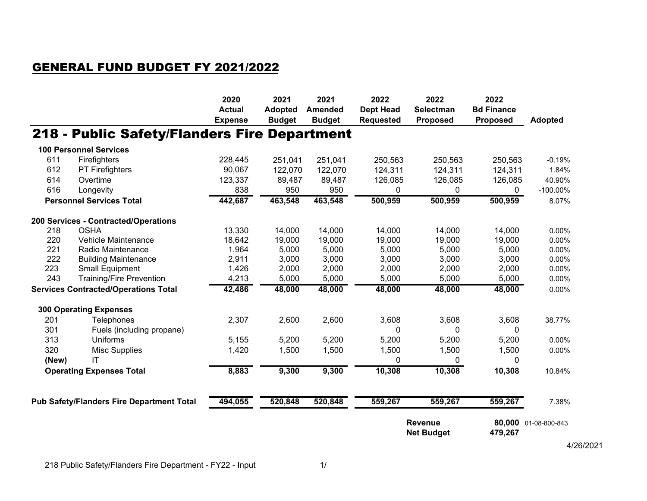## GENERAL FUND BUDGET FY 2021/2022

|                                                             |                                              | 2020<br><b>Actual</b><br><b>Expense</b> | 2021<br><b>Adopted</b><br><b>Budget</b> | 2021<br><b>Amended</b><br><b>Budget</b> | 2022<br><b>Dept Head</b><br><b>Requested</b> | 2022<br><b>Selectman</b><br><b>Proposed</b> | 2022<br><b>Bd Finance</b><br><b>Proposed</b> | <b>Adopted</b>       |
|-------------------------------------------------------------|----------------------------------------------|-----------------------------------------|-----------------------------------------|-----------------------------------------|----------------------------------------------|---------------------------------------------|----------------------------------------------|----------------------|
|                                                             | 218 - Public Safety/Flanders Fire Department |                                         |                                         |                                         |                                              |                                             |                                              |                      |
|                                                             | <b>100 Personnel Services</b>                |                                         |                                         |                                         |                                              |                                             |                                              |                      |
| 611                                                         | Firefighters                                 | 228,445                                 | 251,041                                 | 251,041                                 | 250,563                                      | 250,563                                     | 250,563                                      | $-0.19%$             |
| 612                                                         | PT Firefighters                              | 90,067                                  | 122,070                                 | 122,070                                 | 124,311                                      | 124,311                                     | 124,311                                      | 1.84%                |
| 614                                                         | Overtime                                     | 123,337                                 | 89,487                                  | 89,487                                  | 126,085                                      | 126,085                                     | 126,085                                      | 40.90%               |
| 616                                                         | Longevity                                    | 838                                     | 950                                     | 950                                     | 0                                            | 0                                           | 0                                            | $-100.00\%$          |
|                                                             | <b>Personnel Services Total</b>              | 442,687                                 | 463,548                                 | 463,548                                 | 500,959                                      | 500,959                                     | 500,959                                      | 8.07%                |
|                                                             | 200 Services - Contracted/Operations         |                                         |                                         |                                         |                                              |                                             |                                              |                      |
| 218                                                         | <b>OSHA</b>                                  | 13,330                                  | 14,000                                  | 14,000                                  | 14,000                                       | 14,000                                      | 14,000                                       | 0.00%                |
| 220                                                         | Vehicle Maintenance                          | 18,642                                  | 19,000                                  | 19,000                                  | 19,000                                       | 19,000                                      | 19,000                                       | 0.00%                |
| 221                                                         | Radio Maintenance                            | 1,964                                   | 5,000                                   | 5,000                                   | 5,000                                        | 5,000                                       | 5,000                                        | 0.00%                |
| 222                                                         | <b>Building Maintenance</b>                  | 2,911                                   | 3,000                                   | 3,000                                   | 3,000                                        | 3,000                                       | 3,000                                        | 0.00%                |
| 223                                                         | <b>Small Equipment</b>                       | 1,426                                   | 2,000                                   | 2,000                                   | 2,000                                        | 2,000                                       | 2,000                                        | 0.00%                |
| 243                                                         | <b>Training/Fire Prevention</b>              | 4,213                                   | 5,000                                   | 5,000                                   | 5,000                                        | 5,000                                       | 5,000                                        | 0.00%                |
|                                                             | <b>Services Contracted/Operations Total</b>  | 42,486                                  | 48,000                                  | 48,000                                  | 48,000                                       | 48,000                                      | 48,000                                       | 0.00%                |
|                                                             | <b>300 Operating Expenses</b>                |                                         |                                         |                                         |                                              |                                             |                                              |                      |
| 201                                                         | Telephones                                   | 2,307                                   | 2,600                                   | 2,600                                   | 3,608                                        | 3,608                                       | 3,608                                        | 38.77%               |
| 301                                                         | Fuels (including propane)                    |                                         |                                         |                                         | 0                                            | 0                                           | 0                                            |                      |
| 313                                                         | Uniforms                                     | 5,155                                   | 5,200                                   | 5,200                                   | 5,200                                        | 5,200                                       | 5,200                                        | 0.00%                |
| 320                                                         | <b>Misc Supplies</b>                         | 1,420                                   | 1,500                                   | 1,500                                   | 1,500                                        | 1,500                                       | 1,500                                        | 0.00%                |
| (New)                                                       | IT                                           |                                         |                                         |                                         | 0                                            | 0                                           | 0                                            |                      |
| <b>Operating Expenses Total</b>                             |                                              | 8,883                                   | 9,300                                   | 9,300                                   | 10,308                                       | 10,308                                      | 10,308                                       | 10.84%               |
|                                                             |                                              |                                         |                                         |                                         |                                              |                                             |                                              |                      |
| 494,055<br><b>Pub Safety/Flanders Fire Department Total</b> |                                              | 520,848                                 | 520,848                                 | 559,267                                 | 559,267                                      | 559,267                                     | 7.38%                                        |                      |
|                                                             |                                              |                                         |                                         |                                         | Revenue<br><b>Net Budget</b>                 |                                             | 479,267                                      | 80,000 01-08-800-843 |
|                                                             |                                              |                                         |                                         |                                         |                                              |                                             |                                              | 4/26/2021            |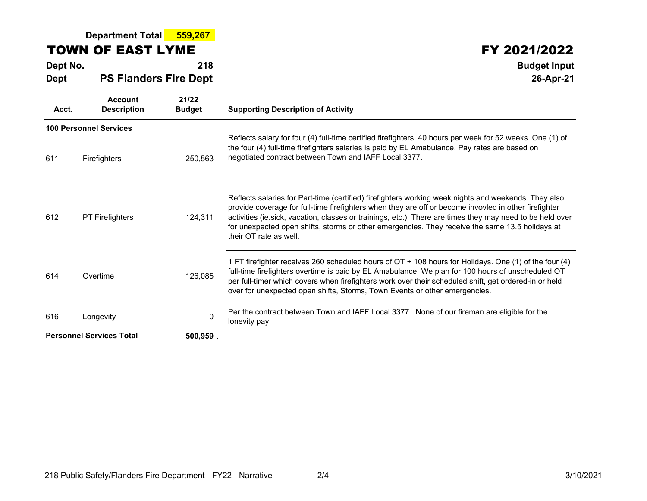#### **Department Total 559,267**

### TOWN OF EAST LYME

**Dept No. <sup>218</sup> Budget Input DeptPS Flanders Fire Dept**

# **FY 2021/2022**<br><sup>218</sup> Budget Input

**26-Apr-21**

| Acct.                                      | <b>Account</b><br><b>Description</b> | 21/22<br><b>Budget</b> | <b>Supporting Description of Activity</b>                                                                                                                                                                                                                                                                                                                                                                                                               |
|--------------------------------------------|--------------------------------------|------------------------|---------------------------------------------------------------------------------------------------------------------------------------------------------------------------------------------------------------------------------------------------------------------------------------------------------------------------------------------------------------------------------------------------------------------------------------------------------|
|                                            | <b>100 Personnel Services</b>        |                        | Reflects salary for four (4) full-time certified firefighters, 40 hours per week for 52 weeks. One (1) of                                                                                                                                                                                                                                                                                                                                               |
| 611                                        | Firefighters                         | 250,563                | the four (4) full-time firefighters salaries is paid by EL Amabulance. Pay rates are based on<br>negotiated contract between Town and IAFF Local 3377.                                                                                                                                                                                                                                                                                                  |
| 612                                        | <b>PT Firefighters</b>               | 124,311                | Reflects salaries for Part-time (certified) firefighters working week nights and weekends. They also<br>provide coverage for full-time firefighters when they are off or become invovled in other firefighter<br>activities (ie.sick, vacation, classes or trainings, etc.). There are times they may need to be held over<br>for unexpected open shifts, storms or other emergencies. They receive the same 13.5 holidays at<br>their OT rate as well. |
| 614                                        | Overtime                             | 126,085                | 1 FT firefighter receives 260 scheduled hours of OT + 108 hours for Holidays. One (1) of the four (4)<br>full-time firefighters overtime is paid by EL Amabulance. We plan for 100 hours of unscheduled OT<br>per full-timer which covers when firefighters work over their scheduled shift, get ordered-in or held<br>over for unexpected open shifts, Storms, Town Events or other emergencies.                                                       |
| 616                                        | Longevity                            | $\Omega$               | Per the contract between Town and IAFF Local 3377. None of our fireman are eligible for the<br>lonevity pay                                                                                                                                                                                                                                                                                                                                             |
| <b>Personnel Services Total</b><br>500,959 |                                      |                        |                                                                                                                                                                                                                                                                                                                                                                                                                                                         |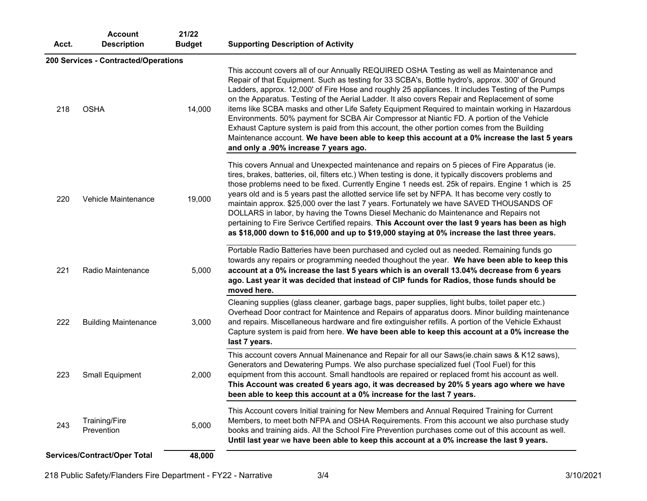| Acct.                                  | <b>Account</b><br><b>Description</b> | 21/22<br><b>Budget</b> | <b>Supporting Description of Activity</b>                                                                                                                                                                                                                                                                                                                                                                                                                                                                                                                                                                                                                                                                                                                                                                                                  |
|----------------------------------------|--------------------------------------|------------------------|--------------------------------------------------------------------------------------------------------------------------------------------------------------------------------------------------------------------------------------------------------------------------------------------------------------------------------------------------------------------------------------------------------------------------------------------------------------------------------------------------------------------------------------------------------------------------------------------------------------------------------------------------------------------------------------------------------------------------------------------------------------------------------------------------------------------------------------------|
|                                        | 200 Services - Contracted/Operations |                        |                                                                                                                                                                                                                                                                                                                                                                                                                                                                                                                                                                                                                                                                                                                                                                                                                                            |
| 218                                    | <b>OSHA</b>                          | 14,000                 | This account covers all of our Annually REQUIRED OSHA Testing as well as Maintenance and<br>Repair of that Equipment. Such as testing for 33 SCBA's, Bottle hydro's, approx. 300' of Ground<br>Ladders, approx. 12,000' of Fire Hose and roughly 25 appliances. It includes Testing of the Pumps<br>on the Apparatus. Testing of the Aerial Ladder. It also covers Repair and Replacement of some<br>items like SCBA masks and other Life Safety Equipment Required to maintain working in Hazardous<br>Environments. 50% payment for SCBA Air Compressor at Niantic FD. A portion of the Vehicle<br>Exhaust Capture system is paid from this account, the other portion comes from the Building<br>Maintenance account. We have been able to keep this account at a 0% increase the last 5 years<br>and only a .90% increase 7 years ago. |
| 220                                    | Vehicle Maintenance                  | 19,000                 | This covers Annual and Unexpected maintenance and repairs on 5 pieces of Fire Apparatus (ie.<br>tires, brakes, batteries, oil, filters etc.) When testing is done, it typically discovers problems and<br>those problems need to be fixed. Currently Engine 1 needs est. 25k of repairs. Engine 1 which is 25<br>years old and is 5 years past the allotted service life set by NFPA. It has become very costly to<br>maintain approx. \$25,000 over the last 7 years. Fortunately we have SAVED THOUSANDS OF<br>DOLLARS in labor, by having the Towns Diesel Mechanic do Maintenance and Repairs not<br>pertaining to Fire Serivce Certified repairs. This Account over the last 9 years has been as high<br>as \$18,000 down to \$16,000 and up to \$19,000 staying at 0% increase the last three years.                                 |
| 221                                    | Radio Maintenance                    | 5,000                  | Portable Radio Batteries have been purchased and cycled out as needed. Remaining funds go<br>towards any repairs or programming needed thoughout the year. We have been able to keep this<br>account at a 0% increase the last 5 years which is an overall 13.04% decrease from 6 years<br>ago. Last year it was decided that instead of CIP funds for Radios, those funds should be<br>moved here.                                                                                                                                                                                                                                                                                                                                                                                                                                        |
| 222                                    | <b>Building Maintenance</b>          | 3,000                  | Cleaning supplies (glass cleaner, garbage bags, paper supplies, light bulbs, toilet paper etc.)<br>Overhead Door contract for Maintence and Repairs of apparatus doors. Minor building maintenance<br>and repairs. Miscellaneous hardware and fire extinguisher refills. A portion of the Vehicle Exhaust<br>Capture system is paid from here. We have been able to keep this account at a 0% increase the<br>last 7 years.                                                                                                                                                                                                                                                                                                                                                                                                                |
| 223                                    | Small Equipment                      | 2,000                  | This account covers Annual Mainenance and Repair for all our Saws(ie.chain saws & K12 saws),<br>Generators and Dewatering Pumps. We also purchase specialized fuel (Tool Fuel) for this<br>equipment from this account. Small handtools are repaired or replaced fromt his account as well.<br>This Account was created 6 years ago, it was decreased by 20% 5 years ago where we have<br>been able to keep this account at a 0% increase for the last 7 years.                                                                                                                                                                                                                                                                                                                                                                            |
| 243                                    | <b>Training/Fire</b><br>Prevention   | 5,000                  | This Account covers Initial training for New Members and Annual Required Training for Current<br>Members, to meet both NFPA and OSHA Requirements. From this account we also purchase study<br>books and training aids. All the School Fire Prevention purchases come out of this account as well.<br>Until last year we have been able to keep this account at a 0% increase the last 9 years.                                                                                                                                                                                                                                                                                                                                                                                                                                            |
| Services/Contract/Oper Total<br>48,000 |                                      |                        |                                                                                                                                                                                                                                                                                                                                                                                                                                                                                                                                                                                                                                                                                                                                                                                                                                            |